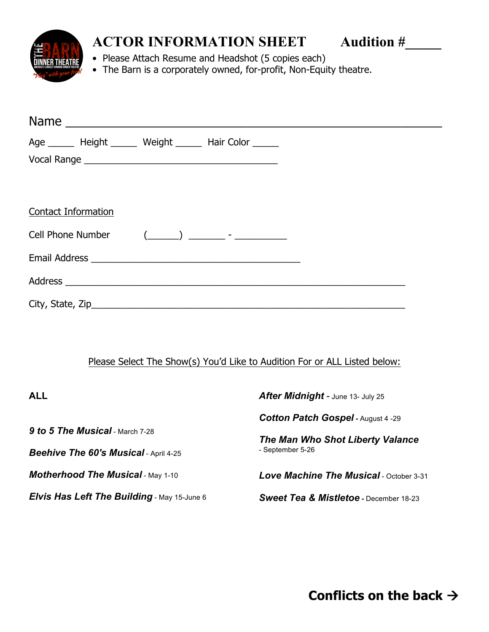

## **ACTOR INFORMATION SHEET** Audition #

• Please Attach Resume and Headshot (5 copies each)

• The Barn is a corporately owned, for-profit, Non-Equity theatre.

|                            | Age _______ Height _______ Weight _______ Hair Color ______ |  |  |
|----------------------------|-------------------------------------------------------------|--|--|
|                            |                                                             |  |  |
|                            |                                                             |  |  |
|                            |                                                             |  |  |
| <b>Contact Information</b> |                                                             |  |  |
|                            | Cell Phone Number (______) __________ - ______________      |  |  |
|                            |                                                             |  |  |
|                            |                                                             |  |  |
|                            |                                                             |  |  |

## Please Select The Show(s) You'd Like to Audition For or ALL Listed below:

| <b>ALL</b>                                         | After Midnight - June 13- July 25                 |  |
|----------------------------------------------------|---------------------------------------------------|--|
|                                                    | <b>Cotton Patch Gospel - August 4 -29</b>         |  |
| <b>9 to 5 The Musical</b> - March 7-28             | The Man Who Shot Liberty Valance                  |  |
| <b>Beehive The 60's Musical - April 4-25</b>       | - September 5-26                                  |  |
| <b>Motherhood The Musical - May 1-10</b>           | Love Machine The Musical - October 3-31           |  |
| <b>Elvis Has Left The Building</b> - May 15-June 6 | <b>Sweet Tea &amp; Mistletoe - December 18-23</b> |  |

**Conflicts on the back** à